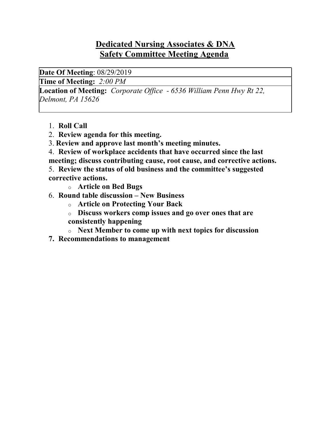## Dedicated Nursing Associates & DNA Safety Committee Meeting Agenda

Date Of Meeting: 08/29/2019

Time of Meeting: 2:00 PM

Location of Meeting: Corporate Office - 6536 William Penn Hwy Rt 22, Delmont, PA 15626

- 1. Roll Call
- 2. Review agenda for this meeting.
- 3. Review and approve last month's meeting minutes.
- 4. Review of workplace accidents that have occurred since the last meeting; discuss contributing cause, root cause, and corrective actions.

5. Review the status of old business and the committee's suggested corrective actions.

- o Article on Bed Bugs
- 6. Round table discussion New Business
	- o Article on Protecting Your Back
	- o Discuss workers comp issues and go over ones that are
	- consistently happening
	- o Next Member to come up with next topics for discussion
- 7. Recommendations to management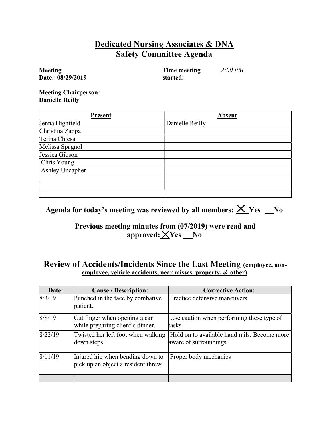### Dedicated Nursing Associates & DNA Safety Committee Agenda

Meeting Date: 08/29/2019  Time meeting started: 2:00 PM

Meeting Chairperson: Danielle Reilly

| <b>Present</b>  | <b>Absent</b>   |
|-----------------|-----------------|
| Jenna Highfield | Danielle Reilly |
| Christina Zappa |                 |
| Terina Chiesa   |                 |
| Melissa Spagnol |                 |
| Jessica Gibson  |                 |
| Chris Young     |                 |
| Ashley Uncapher |                 |
|                 |                 |
|                 |                 |
|                 |                 |

## Agenda for today's meeting was reviewed by all members:  $\times$  Yes No

#### Previous meeting minutes from (07/2019) were read and  $approved: \angle Yes$  No

#### Review of Accidents/Incidents Since the Last Meeting (employee, nonemployee, vehicle accidents, near misses, property, & other)

| Date:   | <b>Cause / Description:</b>                                            | <b>Corrective Action:</b>                                             |
|---------|------------------------------------------------------------------------|-----------------------------------------------------------------------|
| 8/3/19  | Punched in the face by combative<br>patient.                           | Practice defensive maneuvers                                          |
| 8/8/19  | Cut finger when opening a can<br>while preparing client's dinner.      | Use caution when performing these type of<br>tasks                    |
| 8/22/19 | Twisted her left foot when walking<br>down steps                       | Hold on to available hand rails. Become more<br>aware of surroundings |
| 8/11/19 | Injured hip when bending down to<br>pick up an object a resident threw | Proper body mechanics                                                 |
|         |                                                                        |                                                                       |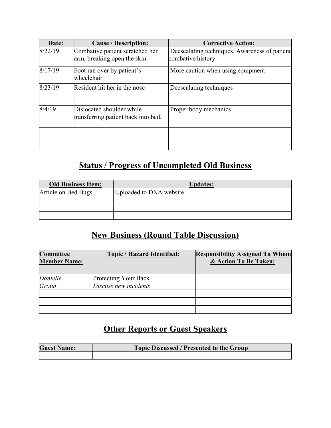| Date:   | <b>Cause / Description:</b>                                      | <b>Corrective Action:</b>                                          |
|---------|------------------------------------------------------------------|--------------------------------------------------------------------|
| 8/22/19 | Combative patient scratched her<br>arm, breaking open the skin   | Deescalating techniques. Awareness of patient<br>combative history |
| 8/17/19 | Foot ran over by patient's<br>lwheelchair                        | More caution when using equipment                                  |
| 8/23/19 | Resident hit her in the nose                                     | Deescalating techniques                                            |
| 8/4/19  | Dislocated shoulder while<br>transferring patient back into bed. | Proper body mechanics                                              |
|         |                                                                  |                                                                    |

# Status / Progress of Uncompleted Old Business

| <b>Old Business Item:</b> | <b>Updates:</b>          |
|---------------------------|--------------------------|
| Article on Bed Bugs       | Uploaded to DNA website. |
|                           |                          |
|                           |                          |
|                           |                          |

## New Business (Round Table Discussion)

| <b>Committee</b><br><b>Member Name:</b> | <b>Topic / Hazard Identified:</b> | <b>Responsibility Assigned To Whom</b><br>& Action To Be Taken: |
|-----------------------------------------|-----------------------------------|-----------------------------------------------------------------|
| Danielle                                | Protecting Your Back              |                                                                 |
| Group                                   | Discuss new incidents             |                                                                 |
|                                         |                                   |                                                                 |
|                                         |                                   |                                                                 |
|                                         |                                   |                                                                 |

# **Other Reports or Guest Speakers**

| <b>Guest Name:</b> | <b>Topic Discussed / Presented to the Group</b> |
|--------------------|-------------------------------------------------|
|                    |                                                 |